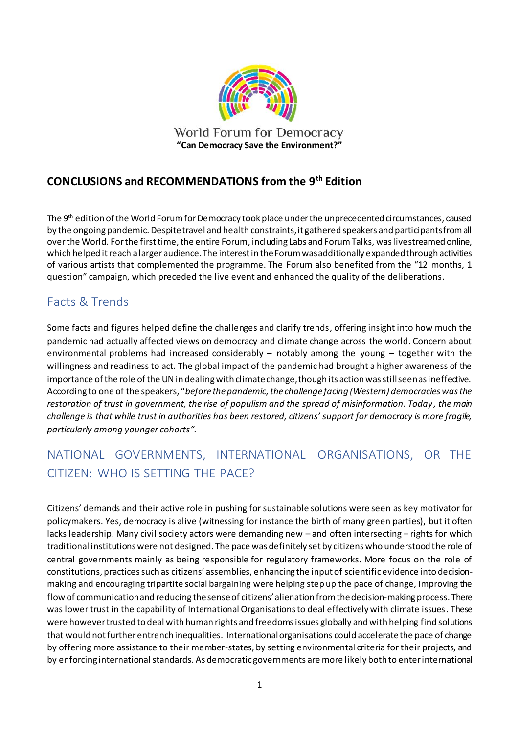

## **CONCLUSIONS and RECOMMENDATIONS from the 9th Edition**

The 9<sup>th</sup> edition of the World Forum for Democracy took place under the unprecedented circumstances, caused by the ongoing pandemic. Despite travel and health constraints, it gathered speakers and participants from all over the World. For the first time, the entire Forum, including Labs and Forum Talks, was livestreamed online, which helped it reach a larger audience. The interest in the Forum was additionally expanded through activities of various artists that complemented the programme. The Forum also benefited from the "12 months, 1 question" campaign, which preceded the live event and enhanced the quality of the deliberations.

## Facts & Trends

Some facts and figures helped define the challenges and clarify trends, offering insight into how much the pandemic had actually affected views on democracy and climate change across the world. Concern about environmental problems had increased considerably – notably among the young – together with the willingness and readiness to act. The global impact of the pandemic had brought a higher awareness of the importance of the role of the UN in dealing with climate change, though its action was still seen as ineffective. According to one of the speakers, "before the pandemic, the challenge facing (Western) democracies was the *restoration of trust in government, the rise of populism and the spread of misinformation. Today , the main challenge is that while trust in authorities has been restored, citizens' support for democracy is more fragile, particularly among younger cohorts".*

## NATIONAL GOVERNMENTS, INTERNATIONAL ORGANISATIONS, OR THE CITIZEN: WHO IS SETTING THE PACE?

Citizens' demands and their active role in pushing for sustainable solutions were seen as key motivator for policymakers. Yes, democracy is alive (witnessing for instance the birth of many green parties), but it often lacks leadership. Many civil society actors were demanding new – and often intersecting – rights for which traditional institutions were not designed. The pace was definitely set by citizens who understood the role of central governments mainly as being responsible for regulatory frameworks. More focus on the role of constitutions, practicessuch as citizens' assemblies, enhancing the input of scientific evidence into decisionmaking and encouraging tripartite social bargaining were helping step up the pace of change, improving the flow of communication and reducing the sense of citizens'alienation from the decision-making process. There was lower trust in the capability of International Organisations to deal effectively with climate issues. These were however trusted to deal with human rights and freedoms issues globally and with helping find solutions that would not further entrench inequalities. International organisations could accelerate the pace of change by offering more assistance to their member-states, by setting environmental criteria for their projects, and by enforcing international standards. As democratic governments are more likely both to enter international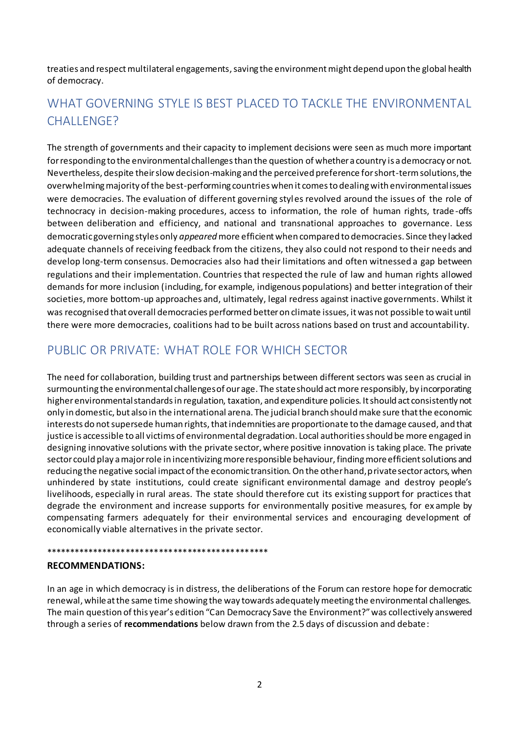treaties and respect multilateral engagements, saving the environment might depend upon the global health of democracy.

## WHAT GOVERNING STYLE IS BEST PLACED TO TACKLE THE ENVIRONMENTAL CHALL FNGF?

The strength of governments and their capacity to implement decisions were seen as much more important for responding to the environmental challenges than the question of whether a country is a democracy or not. Nevertheless, despite their slow decision-making and the perceived preference for short-term solutions, the overwhelming majority of the best-performing countries when it comes to dealing with environmental issues were democracies. The evaluation of different governing styles revolved around the issues of the role of technocracy in decision-making procedures, access to information, the role of human rights, trade -offs between deliberation and efficiency, and national and transnational approaches to governance. Less democratic governing styles only *appeared*more efficient when compared to democracies. Since they lacked adequate channels of receiving feedback from the citizens, they also could not respond to their needs and develop long-term consensus. Democracies also had their limitations and often witnessed a gap between regulations and their implementation. Countries that respected the rule of law and human rights allowed demands for more inclusion (including, for example, indigenous populations) and better integration of their societies, more bottom-up approaches and, ultimately, legal redress against inactive governments. Whilst it was recognised that overall democracies performed better on climate issues, it was not possible to wait until there were more democracies, coalitions had to be built across nations based on trust and accountability.

## PUBLIC OR PRIVATE: WHAT ROLE FOR WHICH SECTOR

The need for collaboration, building trust and partnerships between different sectors was seen as crucial in surmounting the environmental challenges of our age. The state should act more responsibly, by incorporating higher environmental standards in regulation, taxation, and expenditure policies. It should act consistently not only in domestic, but also in the international arena. The judicial branch should make sure that the economic interests do not supersede human rights, that indemnities are proportionate to the damage caused, and that justice is accessible to all victims of environmental degradation. Local authorities should be more engaged in designing innovative solutions with the private sector, where positive innovation is taking place. The private sector could play a major role in incentivizing more responsible behaviour, finding more efficient solutions and reducing the negative social impact of the economic transition. On the other hand, private sector actors, when unhindered by state institutions, could create significant environmental damage and destroy people's livelihoods, especially in rural areas. The state should therefore cut its existing support for practices that degrade the environment and increase supports for environmentally positive measures, for ex ample by compensating farmers adequately for their environmental services and encouraging development of economically viable alternatives in the private sector.

#### \*\*\*\*\*\*\*\*\*\*\*\*\*\*\*\*\*\*\*\*\*\*\*\*\*\*\*\*\*\*\*\*\*\*\*\*\*\*\*\*\*\*\*\*\*\*\*

#### **RECOMMENDATIONS:**

In an age in which democracy is in distress, the deliberations of the Forum can restore hope for democratic renewal, while at the same time showing the way towards adequately meeting the environmental challenges. The main question of this year's edition "Can Democracy Save the Environment?" was collectively answered through a series of **recommendations** below drawn from the 2.5 days of discussion and debate: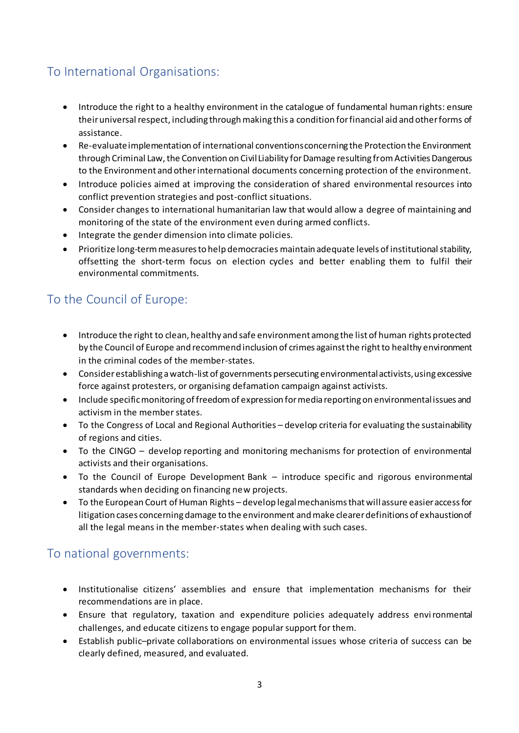# To International Organisations:

- Introduce the right to a healthy environment in the catalogue of fundamental human rights: ensure their universal respect, including through making this a condition for financial aid and other forms of assistance.
- Re-evaluate implementation of international conventions concerning the Protection the Environment through Criminal Law, the Convention on Civil Liability for Damage resulting from Activities Dangerous to the Environment and other international documents concerning protection of the environment.
- Introduce policies aimed at improving the consideration of shared environmental resources into conflict prevention strategies and post-conflict situations.
- Consider changes to international humanitarian law that would allow a degree of maintaining and monitoring of the state of the environment even during armed conflicts.
- Integrate the gender dimension into climate policies.
- Prioritize long-term measures to help democracies maintain adequate levels of institutional stability, offsetting the short-term focus on election cycles and better enabling them to fulfil their environmental commitments.

## To the Council of Europe:

- Introduce the right to clean, healthy and safe environment among the list of human rights protected by the Council of Europe and recommend inclusion of crimes against the right to healthy environment in the criminal codes of the member-states.
- Consider establishing a watch-list of governments persecuting environmental activists, using excessive force against protesters, or organising defamation campaign against activists.
- Include specific monitoring of freedom of expression for media reporting on environmental issues and activism in the member states.
- To the Congress of Local and Regional Authorities develop criteria for evaluating the sustainability of regions and cities.
- To the CINGO develop reporting and monitoring mechanisms for protection of environmental activists and their organisations.
- To the Council of Europe Development Bank introduce specific and rigorous environmental standards when deciding on financing new projects.
- To the European Court of Human Rights develop legal mechanisms that will assure easier access for litigation cases concerning damage to the environment and make clearer definitions of exhaustion of all the legal means in the member-states when dealing with such cases.

## To national governments:

- Institutionalise citizens' assemblies and ensure that implementation mechanisms for their recommendations are in place.
- Ensure that regulatory, taxation and expenditure policies adequately address environmental challenges, and educate citizens to engage popular support for them.
- Establish public–private collaborations on environmental issues whose criteria of success can be clearly defined, measured, and evaluated.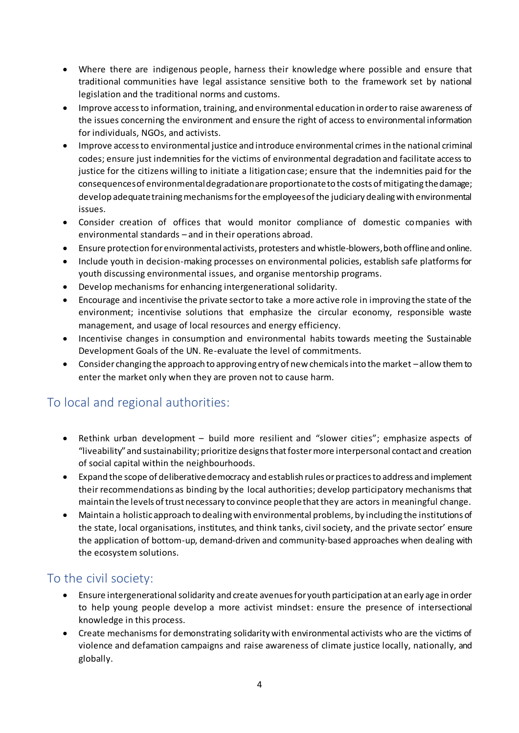- Where there are indigenous people, harness their knowledge where possible and ensure that traditional communities have legal assistance sensitive both to the framework set by national legislation and the traditional norms and customs.
- Improve access to information, training, and environmental education in order to raise awareness of the issues concerning the environment and ensure the right of access to environmental information for individuals, NGOs, and activists.
- Improve access to environmental justice and introduce environmental crimes in the national criminal codes; ensure just indemnities for the victims of environmental degradation and facilitate access to justice for the citizens willing to initiate a litigation case; ensure that the indemnities paid for the consequences of environmental degradation are proportionateto the costs of mitigating the damage; develop adequate training mechanisms for the employees of the judiciary dealing with environmental issues.
- Consider creation of offices that would monitor compliance of domestic companies with environmental standards – and in their operations abroad.
- Ensure protection for environmental activists, protesters andwhistle-blowers, both offline and online.
- Include youth in decision-making processes on environmental policies, establish safe platforms for youth discussing environmental issues, and organise mentorship programs.
- Develop mechanisms for enhancing intergenerational solidarity.
- Encourage and incentivise the private sector to take a more active role in improving the state of the environment; incentivise solutions that emphasize the circular economy, responsible waste management, and usage of local resources and energy efficiency.
- Incentivise changes in consumption and environmental habits towards meeting the Sustainable Development Goals of the UN. Re-evaluate the level of commitments.
- Consider changing the approach to approving entry of new chemicals into the market –allow them to enter the market only when they are proven not to cause harm.

## To local and regional authorities:

- Rethink urban development build more resilient and "slower cities"; emphasize aspects of "liveability" and sustainability; prioritize designs that foster more interpersonal contact and creation of social capital within the neighbourhoods.
- Expand the scope of deliberative democracy and establish rules or practices to address and implement their recommendations as binding by the local authorities; develop participatory mechanisms that maintain the levels of trust necessary to convince people that they are actors in meaningful change.
- Maintain a holistic approach to dealing with environmental problems, by including the institutions of the state, local organisations, institutes, and think tanks, civil society, and the private sector' ensure the application of bottom-up, demand-driven and community-based approaches when dealing with the ecosystem solutions.

## To the civil society:

- Ensure intergenerational solidarity and create avenues for youth participation at an early age in order to help young people develop a more activist mindset: ensure the presence of intersectional knowledge in this process.
- Create mechanisms for demonstrating solidarity with environmental activists who are the victims of violence and defamation campaigns and raise awareness of climate justice locally, nationally, and globally.